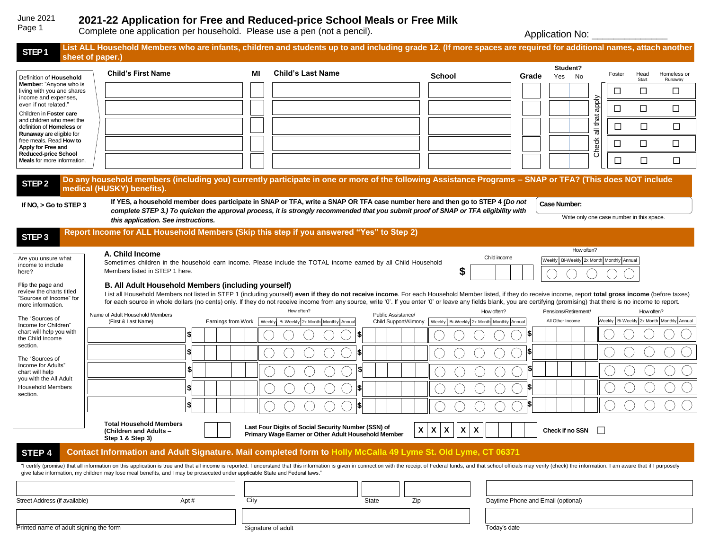#### **2021-22 Application for Free and Reduced-price School Meals or Free Milk** June 2021 Page 1

Complete one application per household. Please use a pen (not a pencil).

Application No: \_\_\_\_\_\_\_\_\_\_\_\_\_\_\_\_\_

| STEP <sub>1</sub>                                                                                                                                                                                           | List ALL Household Members who are infants, children and students up to and including grade 12. (If more spaces are required for additional names, attach another<br>sheet of paper.)                                                                                                                                                                                                                                                                                                              |                    |      |                                                                                                                                                                                                                                                                       |                    |                                                                  |       |                                          |                       |                                           |               |                                              |
|-------------------------------------------------------------------------------------------------------------------------------------------------------------------------------------------------------------|----------------------------------------------------------------------------------------------------------------------------------------------------------------------------------------------------------------------------------------------------------------------------------------------------------------------------------------------------------------------------------------------------------------------------------------------------------------------------------------------------|--------------------|------|-----------------------------------------------------------------------------------------------------------------------------------------------------------------------------------------------------------------------------------------------------------------------|--------------------|------------------------------------------------------------------|-------|------------------------------------------|-----------------------|-------------------------------------------|---------------|----------------------------------------------|
|                                                                                                                                                                                                             |                                                                                                                                                                                                                                                                                                                                                                                                                                                                                                    |                    |      |                                                                                                                                                                                                                                                                       |                    |                                                                  |       | Student?                                 |                       |                                           |               |                                              |
| Definition of Household                                                                                                                                                                                     | <b>Child's First Name</b>                                                                                                                                                                                                                                                                                                                                                                                                                                                                          |                    | МI   | <b>Child's Last Name</b>                                                                                                                                                                                                                                              |                    | <b>School</b>                                                    | Grade | No<br>Yes                                |                       | Foster                                    | Head<br>Start | Homeless or<br>Runaway                       |
| Member: "Anyone who is<br>living with you and shares<br>income and expenses,                                                                                                                                |                                                                                                                                                                                                                                                                                                                                                                                                                                                                                                    |                    |      |                                                                                                                                                                                                                                                                       |                    |                                                                  |       |                                          |                       | □                                         | □             | □                                            |
| even if not related."<br>Children in Foster care                                                                                                                                                            |                                                                                                                                                                                                                                                                                                                                                                                                                                                                                                    |                    |      |                                                                                                                                                                                                                                                                       |                    |                                                                  |       |                                          | Node                  | □                                         | □             | □                                            |
| and children who meet the<br>definition of Homeless or                                                                                                                                                      |                                                                                                                                                                                                                                                                                                                                                                                                                                                                                                    |                    |      |                                                                                                                                                                                                                                                                       |                    |                                                                  |       |                                          | that<br>$\frac{1}{5}$ | □                                         | $\Box$        | □                                            |
| Runaway are eligible for<br>free meals. Read How to<br>Apply for Free and                                                                                                                                   |                                                                                                                                                                                                                                                                                                                                                                                                                                                                                                    |                    |      |                                                                                                                                                                                                                                                                       |                    |                                                                  |       |                                          | Check                 | □                                         | □             | □                                            |
| <b>Reduced-price School</b><br><b>Meals</b> for more information.                                                                                                                                           |                                                                                                                                                                                                                                                                                                                                                                                                                                                                                                    |                    |      |                                                                                                                                                                                                                                                                       |                    |                                                                  |       |                                          |                       | $\Box$                                    | □             | □                                            |
| Do any household members (including you) currently participate in one or more of the following Assistance Programs - SNAP or TFA? (This does NOT include<br>STEP <sub>2</sub><br>medical (HUSKY) benefits). |                                                                                                                                                                                                                                                                                                                                                                                                                                                                                                    |                    |      |                                                                                                                                                                                                                                                                       |                    |                                                                  |       |                                          |                       |                                           |               |                                              |
| If $NO$ , $>$ Go to STEP 3                                                                                                                                                                                  |                                                                                                                                                                                                                                                                                                                                                                                                                                                                                                    |                    |      | If YES, a household member does participate in SNAP or TFA, write a SNAP OR TFA case number here and then go to STEP 4 (Do not<br>complete STEP 3.) To quicken the approval process, it is strongly recommended that you submit proof of SNAP or TFA eligibility with |                    |                                                                  |       | <b>Case Number:</b>                      |                       |                                           |               |                                              |
|                                                                                                                                                                                                             | this application. See instructions.                                                                                                                                                                                                                                                                                                                                                                                                                                                                |                    |      |                                                                                                                                                                                                                                                                       |                    |                                                                  |       |                                          |                       | Write only one case number in this space. |               |                                              |
| STEP <sub>3</sub>                                                                                                                                                                                           | Report Income for ALL Household Members (Skip this step if you answered "Yes" to Step 2)                                                                                                                                                                                                                                                                                                                                                                                                           |                    |      |                                                                                                                                                                                                                                                                       |                    |                                                                  |       |                                          |                       |                                           |               |                                              |
|                                                                                                                                                                                                             |                                                                                                                                                                                                                                                                                                                                                                                                                                                                                                    |                    |      |                                                                                                                                                                                                                                                                       |                    |                                                                  |       |                                          | How often?            |                                           |               |                                              |
| Are you unsure what                                                                                                                                                                                         | A. Child Income                                                                                                                                                                                                                                                                                                                                                                                                                                                                                    |                    |      |                                                                                                                                                                                                                                                                       |                    | Child income                                                     |       |                                          |                       |                                           |               |                                              |
| income to include                                                                                                                                                                                           |                                                                                                                                                                                                                                                                                                                                                                                                                                                                                                    |                    |      | Sometimes children in the household earn income. Please include the TOTAL income earned by all Child Household                                                                                                                                                        |                    |                                                                  |       | Weekly Bi-Weekly 2x Month Monthly Annual |                       |                                           |               |                                              |
| here?                                                                                                                                                                                                       | Members listed in STEP 1 here.                                                                                                                                                                                                                                                                                                                                                                                                                                                                     |                    |      |                                                                                                                                                                                                                                                                       |                    | \$                                                               |       |                                          |                       |                                           |               |                                              |
| Flip the page and<br>review the charts titled<br>"Sources of Income" for<br>more information.                                                                                                               | B. All Adult Household Members (including yourself)<br>List all Household Members not listed in STEP 1 (including yourself) even if they do not receive income. For each Household Member listed, if they do receive income, report total gross income (before taxes)<br>for each source in whole dollars (no cents) only. If they do not receive income from any source, write '0'. If you enter '0' or leave any fields blank, you are certifying (promising) that there is no income to report. |                    |      |                                                                                                                                                                                                                                                                       |                    |                                                                  |       |                                          |                       |                                           |               |                                              |
|                                                                                                                                                                                                             | Name of Adult Household Members                                                                                                                                                                                                                                                                                                                                                                                                                                                                    |                    |      | How often?                                                                                                                                                                                                                                                            | Public Assistance/ | How often?                                                       |       | Pensions/Retirement/                     |                       |                                           | How often?    |                                              |
| The "Sources of<br>Income for Children"                                                                                                                                                                     | (First & Last Name)                                                                                                                                                                                                                                                                                                                                                                                                                                                                                | Earnings from Work |      | Weekly Bi-Weekly 2x Month Monthly Annual                                                                                                                                                                                                                              |                    | Child Support/Alimony   Weekly Bi-Weekly 2x Month Monthly Annual |       | All Other Income                         |                       |                                           |               | Weekly   Bi-Weekly 2x Month   Monthly Annual |
| chart will help you with<br>the Child Income                                                                                                                                                                | \$                                                                                                                                                                                                                                                                                                                                                                                                                                                                                                 |                    |      |                                                                                                                                                                                                                                                                       |                    |                                                                  | S     |                                          |                       |                                           |               |                                              |
| section.<br>The "Sources of                                                                                                                                                                                 | \$                                                                                                                                                                                                                                                                                                                                                                                                                                                                                                 |                    |      | S                                                                                                                                                                                                                                                                     |                    |                                                                  |       |                                          |                       |                                           |               |                                              |
| Income for Adults"<br>chart will help<br>you with the All Adult                                                                                                                                             | \$                                                                                                                                                                                                                                                                                                                                                                                                                                                                                                 |                    |      |                                                                                                                                                                                                                                                                       |                    |                                                                  | S     |                                          |                       |                                           |               |                                              |
| <b>Household Members</b><br>section.                                                                                                                                                                        | \$I                                                                                                                                                                                                                                                                                                                                                                                                                                                                                                |                    |      |                                                                                                                                                                                                                                                                       |                    |                                                                  |       |                                          |                       |                                           |               |                                              |
|                                                                                                                                                                                                             | \$I                                                                                                                                                                                                                                                                                                                                                                                                                                                                                                |                    |      |                                                                                                                                                                                                                                                                       |                    |                                                                  |       |                                          |                       |                                           |               |                                              |
|                                                                                                                                                                                                             |                                                                                                                                                                                                                                                                                                                                                                                                                                                                                                    |                    |      |                                                                                                                                                                                                                                                                       |                    |                                                                  |       |                                          |                       |                                           |               |                                              |
|                                                                                                                                                                                                             | <b>Total Household Members</b><br>(Children and Adults -                                                                                                                                                                                                                                                                                                                                                                                                                                           |                    |      | Last Four Digits of Social Security Number (SSN) of<br>Primary Wage Earner or Other Adult Household Member                                                                                                                                                            | $\pmb{\mathsf{X}}$ | $\pmb{\mathsf{X}}$<br>X<br>X<br>X                                |       | Check if no SSN                          |                       |                                           |               |                                              |
|                                                                                                                                                                                                             | Step 1 & Step 3)                                                                                                                                                                                                                                                                                                                                                                                                                                                                                   |                    |      |                                                                                                                                                                                                                                                                       |                    |                                                                  |       |                                          |                       |                                           |               |                                              |
| STEP 4                                                                                                                                                                                                      | Contact Information and Adult Signature. Mail completed form to Holly McCalla 49 Lyme St. Old Lyme, CT 06371<br>"I certify (promise) that all information on this application is true and that all income is reported. I understand that this information is given in connection with the receipt of Federal funds, and that school officials                                                                                                                                                      |                    |      |                                                                                                                                                                                                                                                                       |                    |                                                                  |       |                                          |                       |                                           |               |                                              |
|                                                                                                                                                                                                             | give false information, my children may lose meal benefits, and I may be prosecuted under applicable State and Federal laws."                                                                                                                                                                                                                                                                                                                                                                      |                    |      |                                                                                                                                                                                                                                                                       |                    |                                                                  |       |                                          |                       |                                           |               |                                              |
| Street Address (if available)                                                                                                                                                                               | Apt#                                                                                                                                                                                                                                                                                                                                                                                                                                                                                               |                    | City |                                                                                                                                                                                                                                                                       | Zip<br>State       |                                                                  |       | Daytime Phone and Email (optional)       |                       |                                           |               |                                              |
|                                                                                                                                                                                                             |                                                                                                                                                                                                                                                                                                                                                                                                                                                                                                    |                    |      |                                                                                                                                                                                                                                                                       |                    |                                                                  |       |                                          |                       |                                           |               |                                              |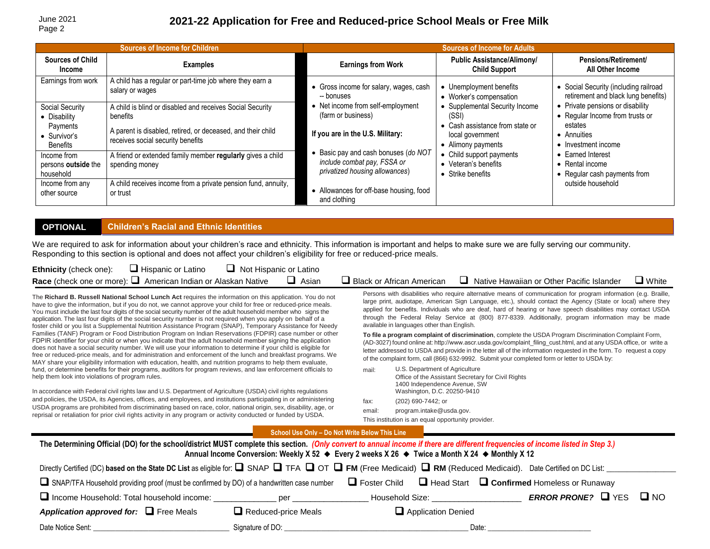# **2021-22 Application for Free and Reduced-price School Meals or Free Milk**

|                                                 | <b>Sources of Income for Children</b>                                                            | <b>Sources of Income for Adults</b>                                                                 |                                                                         |                                                                              |  |
|-------------------------------------------------|--------------------------------------------------------------------------------------------------|-----------------------------------------------------------------------------------------------------|-------------------------------------------------------------------------|------------------------------------------------------------------------------|--|
| <b>Sources of Child</b><br><b>Income</b>        | <b>Examples</b>                                                                                  | <b>Earnings from Work</b>                                                                           | <b>Public Assistance/Alimony/</b><br><b>Child Support</b>               | <b>Pensions/Retirement/</b><br>All Other Income                              |  |
| Earnings from work                              | A child has a regular or part-time job where they earn a<br>salary or wages                      | • Gross income for salary, wages, cash<br>-- bonuses                                                | • Unemployment benefits<br>• Worker's compensation                      | • Social Security (including railroad<br>retirement and black lung benefits) |  |
| Social Security<br>• Disability                 | A child is blind or disabled and receives Social Security<br>benefits                            | • Net income from self-employment<br>(farm or business)                                             | Supplemental Security Income<br>(SSI)                                   | • Private pensions or disability<br>• Requiar Income from trusts or          |  |
| Payments<br>$\bullet$ Survivor's<br>Benefits    | A parent is disabled, retired, or deceased, and their child<br>receives social security benefits | If you are in the U.S. Military:                                                                    | Cash assistance from state or<br>local government<br>• Alimony payments | estates<br>• Annuities<br>• Investment income                                |  |
| Income from<br>persons outside the<br>household | A friend or extended family member regularly gives a child<br>spending money                     | Basic pay and cash bonuses (do NOT<br>include combat pay, FSSA or<br>privatized housing allowances) | • Child support payments<br>• Veteran's benefits<br>• Strike benefits   | Earned Interest<br>• Rental income<br>• Regular cash payments from           |  |
| Income from any<br>other source                 | A child receives income from a private pension fund, annuity,<br>or trust                        | • Allowances for off-base housing, food<br>and clothing                                             |                                                                         | outside household                                                            |  |

#### **OPTIONAL Children's Racial and Ethnic Identities**

We are required to ask for information about your children's race and ethnicity. This information is important and helps to make sure we are fully serving our community. Responding to this section is optional and does not affect your children's eligibility for free or reduced-price meals.

| Ethnicity (check one): | Hispanic or Latino                                                    | $\Box$ Not Hispanic or Latino |              |                                  |                                                  |              |
|------------------------|-----------------------------------------------------------------------|-------------------------------|--------------|----------------------------------|--------------------------------------------------|--------------|
|                        | Race (check one or more): $\square$ American Indian or Alaskan Native |                               | $\Box$ Asian | $\Box$ Black or African American | $\Box$ Native Hawaiian or Other Pacific Islander | $\Box$ White |

The **Richard B. Russell National School Lunch Act** requires the information on this application. You do not have to give the information, but if you do not, we cannot approve your child for free or reduced-price meals. You must include the last four digits of the social security number of the adult household member who signs the application. The last four digits of the social security number is not required when you apply on behalf of a foster child or you list a Supplemental Nutrition Assistance Program (SNAP), Temporary Assistance for Needy Families (TANF) Program or Food Distribution Program on Indian Reservations (FDPIR) case number or other FDPIR identifier for your child or when you indicate that the adult household member signing the application does not have a social security number. We will use your information to determine if your child is eligible for free or reduced-price meals, and for administration and enforcement of the lunch and breakfast programs. We MAY share your eligibility information with education, health, and nutrition programs to help them evaluate, fund, or determine benefits for their programs, auditors for program reviews, and law enforcement officials to help them look into violations of program rules.

In accordance with Federal civil rights law and U.S. Department of Agriculture (USDA) civil rights regulations and policies, the USDA, its Agencies, offices, and employees, and institutions participating in or administering USDA programs are prohibited from discriminating based on race, color, national origin, sex, disability, age, or reprisal or retaliation for prior civil rights activity in any program or activity conducted or funded by USDA.

Persons with disabilities who require alternative means of communication for program information (e.g. Braille, large print, audiotape, American Sign Language, etc.), should contact the Agency (State or local) where they applied for benefits. Individuals who are deaf, hard of hearing or have speech disabilities may contact USDA through the Federal Relay Service at (800) 877-8339. Additionally, program information may be made available in languages other than English.

**To file a program complaint of discrimination**, complete the USDA Program Discrimination Complaint Form, (AD-3027) found online at: [http://www.ascr.usda.gov/complaint\\_filing\\_cust.html,](http://www.ascr.usda.gov/complaint_%EF%AC%81ling_cust.html) and at any USDA office, or write a letter addressed to USDA and provide in the letter all of the information requested in the form. To request a copy of the complaint form, call (866) 632-9992. Submit your completed form or letter to USDA by:

mail: U.S. Department of Agriculture Office of the Assistant Secretary for Civil Rights 1400 Independence Avenue, SW Washington, D.C. 20250-9410 fax: (202) 690-7442; or email: [program.intake@usda.gov.](mailto:program.intake@usda.gov)

This institution is an equal opportunity provider.

**School Use Only – Do Not Write Below This Line**

| The Determining Official (DO) for the school/district MUST complete this section. (Only convert to annual income if there are different frequencies of income listed in Step 3.)<br>Annual Income Conversion: Weekly X 52 $\bullet$ Every 2 weeks X 26 $\bullet$ Twice a Month X 24 $\bullet$ Monthly X 12 |                            |                    |                                                |  |  |  |  |
|------------------------------------------------------------------------------------------------------------------------------------------------------------------------------------------------------------------------------------------------------------------------------------------------------------|----------------------------|--------------------|------------------------------------------------|--|--|--|--|
| Directly Certified (DC) based on the State DC List as eligible for: Q SNAP TFA Q OT Q FM (Free Medicaid) Q RM (Reduced Medicaid). Date Certified on DC List:                                                                                                                                               |                            |                    |                                                |  |  |  |  |
| $\Box$ Foster Child $\Box$ Head Start $\Box$ Confirmed Homeless or Runaway<br>SNAP/TFA Household providing proof (must be confirmed by DO) of a handwritten case number                                                                                                                                    |                            |                    |                                                |  |  |  |  |
| □ Income Household: Total household income:                                                                                                                                                                                                                                                                | per                        | Household Size:    | <b>ERROR PRONE?</b> $\Box$ YES<br>$\square$ NO |  |  |  |  |
| Application approved for: $\Box$ Free Meals                                                                                                                                                                                                                                                                | $\Box$ Reduced-price Meals | Application Denied |                                                |  |  |  |  |
| Date Notice Sent:                                                                                                                                                                                                                                                                                          | Signature of DO:           |                    | Date:                                          |  |  |  |  |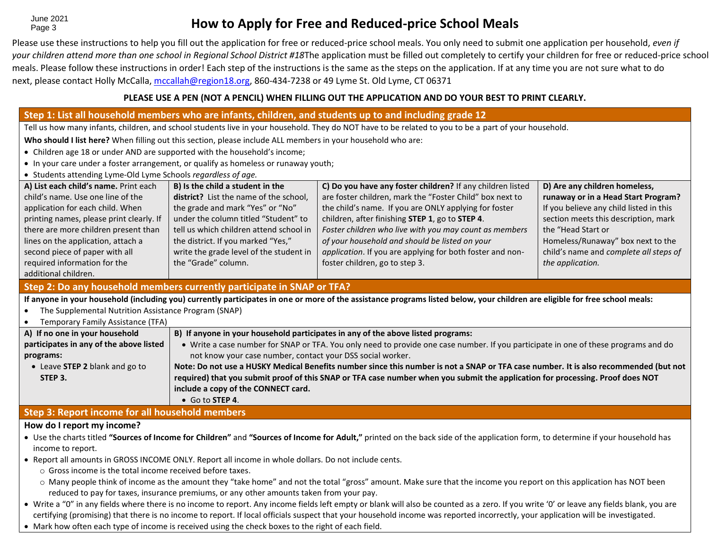June 2021 Page 3

# **How to Apply for Free and Reduced-price School Meals**

Please use these instructions to help you fill out the application for free or reduced-price school meals. You only need to submit one application per household, *even if your children attend more than one school in Regional School District #18*The application must be filled out completely to certify your children for free or reduced-price school meals. Please follow these instructions in order! Each step of the instructions is the same as the steps on the application. If at any time you are not sure what to do next, please contact Holly McCalla[, mccallah@region18.org,](mailto:mccallah@region18.org) 860-434-7238 or 49 Lyme St. Old Lyme, CT 06371

### **PLEASE USE A PEN (NOT A PENCIL) WHEN FILLING OUT THE APPLICATION AND DO YOUR BEST TO PRINT CLEARLY.**

#### **Step 2: Do any household members currently participate in SNAP or TFA? If anyone in your household (including you) currently participates in one or more of the assistance programs listed below, your children are eligible for free school meals:** • The Supplemental Nutrition Assistance Program (SNAP) • Temporary Family Assistance (TFA) **A) If no one in your household participates in any of the above listed programs:** • Leave **STEP 2** blank and go to **STEP 3. B) If anyone in your household participates in any of the above listed programs:**  • Write a case number for SNAP or TFA. You only need to provide one case number. If you participate in one of these programs and do not know your case number, contact your DSS social worker. **Note: Do not use a HUSKY Medical Benefits number since this number is not a SNAP or TFA case number. It is also recommended (but not required) that you submit proof of this SNAP or TFA case number when you submit the application for processing. Proof does NOT include a copy of the CONNECT card.**  • Go to **STEP 4**. **Step 3: Report income for all household members Step 1: List all household members who are infants, children, and students up to and including grade 12** Tell us how many infants, children, and school students live in your household. They do NOT have to be related to you to be a part of your household. **Who should I list here?** When filling out this section, please include ALL members in your household who are: • Children age 18 or under AND are supported with the household's income; • In your care under a foster arrangement, or qualify as homeless or runaway youth; • Students attending Lyme-Old Lyme Schools *regardless of age.* **A) List each child's name.** Print each child's name. Use one line of the application for each child. When printing names, please print clearly. If there are more children present than lines on the application, attach a second piece of paper with all required information for the additional children. **B) Is the child a student in the district?** List the name of the school, the grade and mark "Yes" or "No" under the column titled "Student" to tell us which children attend school in the district. If you marked "Yes," write the grade level of the student in the "Grade" column. **C) Do you have any foster children?** If any children listed are foster children, mark the "Foster Child" box next to the child's name. If you are ONLY applying for foster children, after finishing **STEP 1**, go to **STEP 4**. *Foster children who live with you may count as members of your household and should be listed on your application*. If you are applying for both foster and nonfoster children, go to step 3. **D) Are any children homeless, runaway or in a Head Start Program?** If you believe any child listed in this section meets this description, mark the "Head Start or Homeless/Runaway" box next to the child's name and *complete all steps of the application.*

### **How do I report my income?**

- Use the charts titled **"Sources of Income for Children"** and **"Sources of Income for Adult,"** printed on the back side of the application form, to determine if your household has income to report.
- Report all amounts in GROSS INCOME ONLY. Report all income in whole dollars. Do not include cents.
	- o Gross income is the total income received before taxes.
	- $\circ$  Many people think of income as the amount they "take home" and not the total "gross" amount. Make sure that the income you report on this application has NOT been reduced to pay for taxes, insurance premiums, or any other amounts taken from your pay.
- Write a "0" in any fields where there is no income to report. Any income fields left empty or blank will also be counted as a zero. If you write '0' or leave any fields blank, you are certifying (promising) that there is no income to report. If local officials suspect that your household income was reported incorrectly, your application will be investigated.
- Mark how often each type of income is received using the check boxes to the right of each field.